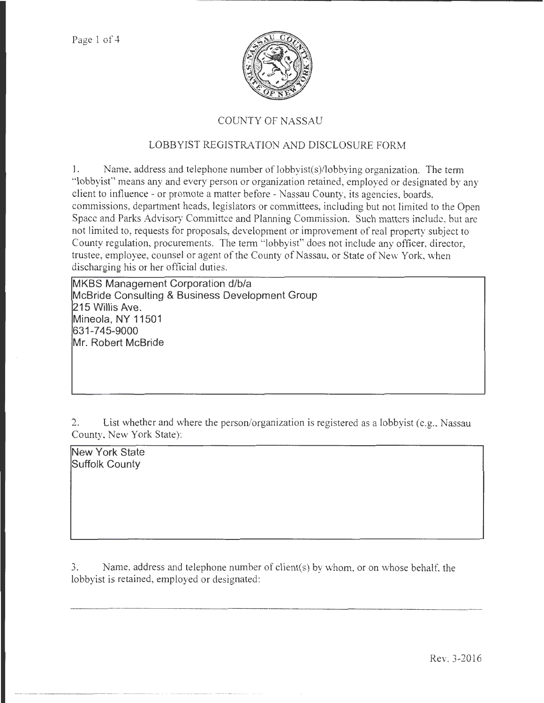

# COUNTY OF NASSAU

# LOBBYIST REGISTRATION AND DISCLOSURE FORM

1. Name, address and telephone number of lobbyist(s)/lobbying organization. The term "lobbyist" means any and every person or organization retained, employed or designated by any client to influence- or promote a matter before- Nassau County, its agencies, boards, commissions, department heads, legislators or committees, including but not limited to the Open Space and Parks Advisory Committee and Planning Commission. Such matters include, but arc not limited to, requests for proposals, development or improvement of real property subject to County regulation, procurements. The term "lobbyist" does not include any officer, director trustee, employee, counsel or agent of the County of Nassau, or State of New York, when discharging his or her official duties.

**MKBS Management Corporation d/b/a McBride Consulting & Business Development Group 215 Willis Ave. Mineola, NY 11501 631-745-9000 Mr. Robert McBride** 

? List whether and where the person/organization is registered as a lobbyist (e.g., Nassau County, New York State):

**New York State Suffolk County** 

3. Name, address and telephone number of client(s) by whom, or on whose behalf, the lobbyist is retained, employed or designated: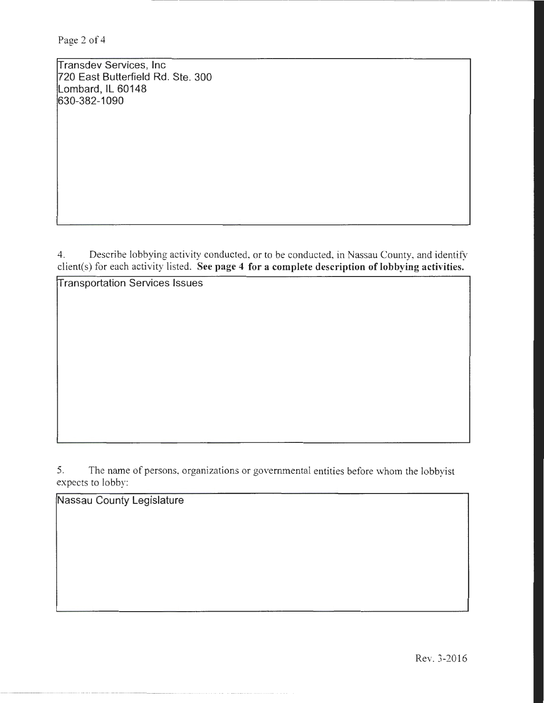ransdev Services, Inc 720 East Butterfield Rd. Ste. 300 Lombard, IL 60148 630-382-1090

4. Describe lobbying activity conducted, or to be conducted, in Nassau County, and identify client(s) for each activity listed. See page 4 for a complete description of lobbying activities.

**Transportation Services Issues** 

5. The name of persons, organizations or governmental entities before whom the lobbyist expects to lobby:

Nassau County Legislature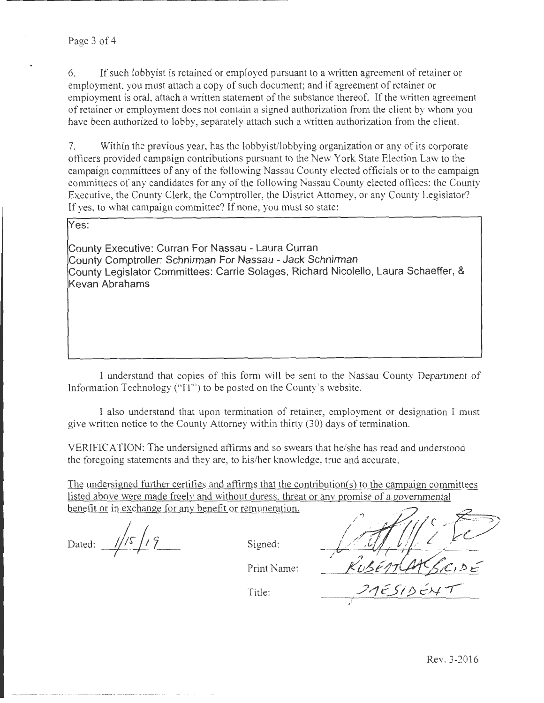If such lobbyist is retained or employed pursuant to a written agreement of retainer or employment, you must attach a copy of such document; and if agreement of retainer or employment is oral, attach a written statement of the substance thereof. If the written agreement of retainer or employment does not contain a signed authorization from the client by whom you have been authorized to lobby, separately attach such a written authorization from the client.

7. Within the previous year, has the lobbyist/lobbying organization or any of its corporate officers provided campaign contributions pursuant to the New York State Election Law to the campaign committees of any of the following Nassau County elected officials or to the campaign committees of any candidates for any of the following Nassau County elected offices: the County Executive, the County Clerk, the Comptroller, the District Attorney, or any County Legislator? If yes, to what campaign committee? If none, you must so state:

Yes:

County Executive: Curran For Nassau - Laura Curran County Comptroller: Schnirman For Nassau - Jack Schnirman County Legislator Committees: Carrie Solages, Richard Nicolello, Laura Schaeffer, & Kevan Abrahams

I understand that copies of this form will be sent to the Nassau County Department of Information Technology ("IT') to be posted on the County's website.

I also understand that upon termination of retainer, employment or designation I must give written notice to the County Attorney within thirty (30) days of termination.

VERIFICATION: The undersigned affirms and so swears that he/she has read and understood the foregoing statements and they are, to his/her knowledge, true and accurate.

The undersigned further certifies and affirms that the contribution(s) to the campaign committees listed above were made freelv and without duress. threat or anv promise of a governmental benefit or in exchange for any benefit or remuneration.

Dated:  $1/5/9$ 

Signed:

I  $5510$ 

I

Print Name:

Title: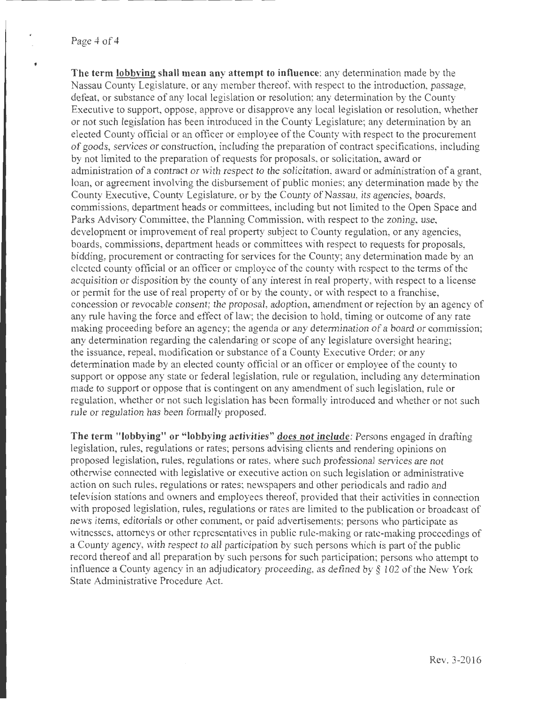### Page 4 of 4

**The term lobbying shall mean any attempt to influence:** any determination made by the Nassau County Legislature, or any member thereof, with respect to the introduction, passage, defeat, or substance of any local legislation or resolution; any determination by the County Executive to support, oppose, approve or disapprove any local legislation or resolution, whether or not such legislation has been introduced in the County Legislature; any determination by an elected County official or an officer or employee of the County with respect to the procurement of goods, services or construction, including the preparation of contract specifications, including by not limited to the preparation of requests for proposals, or solicitation, award or administration of a contract or with respect to the solicitation, award or administration of a grant, loan, or agreement involving the disbursement of public monies; any determination made by the County Executive, County Legislature, or by the County of Nassau, its agencies, boards, commissions, department heads or committees, including but not limited to the Open Space and Parks Advisory Committee, the Planning Commission, with respect to the zoning, use, development or improvement of real property subject to County regulation, or any agencies, boards, commissions, department heads or committees with respect to requests for proposals, bidding, procurement or contracting for services for the County; any determination made by an elected county official or an officer or employee of the county with respect to the terms of the acquisition or disposition by the county of any interest in real property, with respect to a license or permit for the use of real property of or by the county, or with respect to a franchise, concession or revocable consent; the proposal, adoption, amendment or rejection by an agency of any rule having the force and effect of law; the decision to hold, timing or outcome of any rate making proceeding before an agency; the agenda or any determination of a board or commission; any determination regarding the calendaring or scope of any legislature oversight hearing; the issuance, repeal, modification or substance of a County Executive Order; or any determination made by an elected county official or an officer or employee of the county to support or oppose any state or federal legislation, rule or regulation, including any determination made to support or oppose that is contingent on any amendment of such legislation, rule or regulation, whether or not such legislation has been formally introduced and whether or not such rule or regulation has been formally proposed.

**The term "lobbying" or "lobbying activities" does not include:** Persons engaged in drafting legislation, rules, regulations or rates; persons advising clients and rendering opinions on proposed legislation, rules, regulations or rates, where such professional services are not otherwise connected with legislative or executive action on such legislation or administrative action on such rules, regulations or rates; newspapers and other periodicals and radio and television stations and owners and employees thereof, provided that their activities in connection with proposed legislation, rules, regulations or rates are limited to the publication or broadcast of news items, editorials or other comment, or paid advertisements; persons who participate as witnesses, attorneys or other representatives in public rule-making or rate-making proceedings of a County agency, with respect to all participation by such persons which is part of the public record thereof and all preparation by such persons for such participation; persons who attempt to influence a County agency in an adjudicatory proceeding, as defined by§ 102 of the New York State Administrative Procedure Act.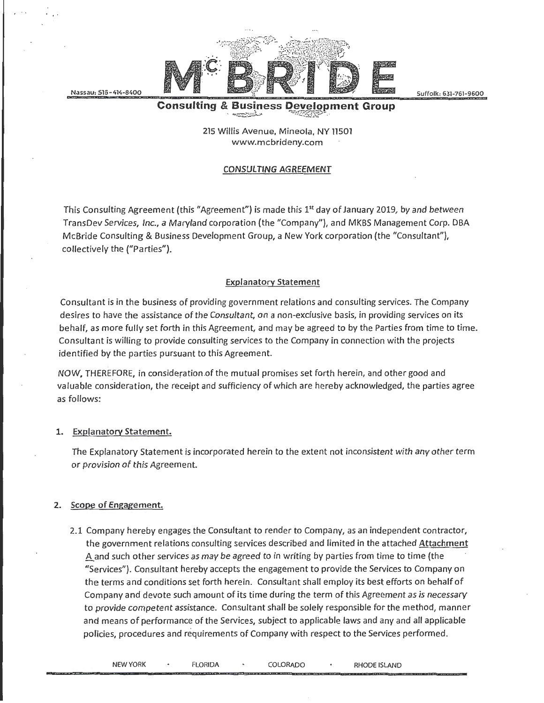Nassau: 516-414-8400

' ..



Suffolk: 631-761-9600

#### **Consulting & Business Development Group** '· ~:zz:.. .:;\_ ~ .:~ .·

215 Willis Avenue, Mineola, NY 11501 www.mcbrideny.com

## CONSULTING AGREEMENT

This Consulting Agreement (this "Agreement") is made this 1<sup>st</sup> day of January 2019, by and between TransDev Services, Inc., a Maryland corporation (the "Company"), and MKBS Management Corp. DBA McBride Consulting & Business Development Group, a New York corporation (the "Consultant"), collectively the ("Parties").

## Explanatory Statement

Consultant is in the business of providing government relations and consulting services. The Company desires to have the assistance of the Consultant, on a non-exclusive basis, in providing services on its behalf, as more fully set forth in this Agreement, and may be agreed to by the Parties from time to time. Consultant is willing to provide consulting services to the Company in connection with the projects identified by the parties pursuant to this Agreement.

NOW, THEREFORE, in consideration of the mutual promises set forth herein, and other good and valuable consideration, the receipt and sufficiency of which are hereby acknowledged, the parties agree as follows:

### 1. Explanatory Statement.

The Explanatory Statement is incorporated herein to the extent not inconsistent with any other term or provision of this Agreement.

### 2. Scope of Engagement.

2.1 Company hereby engages the Consultant to render to Company, as an independent contractor, the government relations consulting services described and limited in the attached Attachment A and such other services as may be agreed to in writing by parties from time to time (the "Services"). Consultant hereby accepts the engagement to provide the Services to Company on the terms and conditions set forth herein. Consultant shall employ its best efforts on behalf of Company and devote such amount of its time during the term of this Agreement as is necessary to provide competent assistance. Consultant shall be solely responsible for the method, manner and means of performance of the Services, subject to applicable laws and any and all applicable policies, procedures and requirements of Company with respect to the Services performed.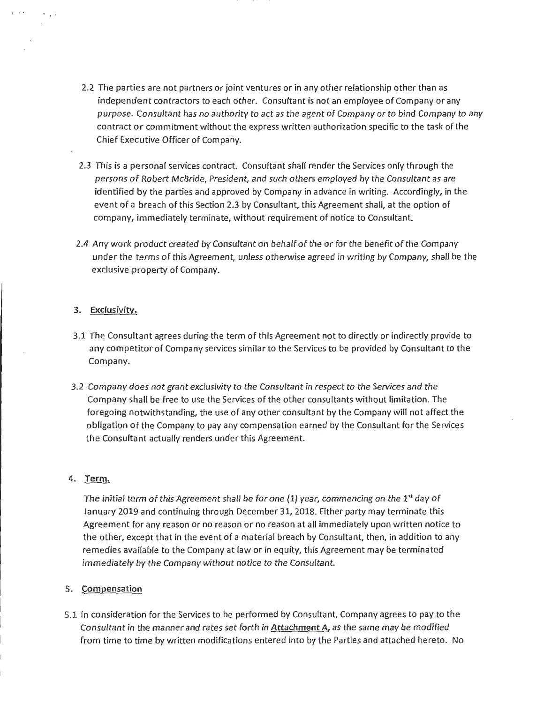- 2.2 The parties are not partners or joint ventures or in any other relationship other than as independent contractors to each other. Consultant is not an employee of Company or any purpose. Consultant has no authority to act as the agent of Company or to bind Company to any contract or commitment without the express written authorization specific to the task of the Chief Executive Officer of Company.
- 2.3 This is a personal services contract. Consultant shall render the Services only through the persons of Robert McBride, President, and such others employed by the Consultant as are identified by the parties and approved by Company in advance in writing. Accordingly, in the event of a breach of this Section 2.3 by Consultant, this Agreement shall, at the option of company, immediately terminate, without requirement of notice to Consultant.
- 2.4 Any work product created by Consultant on behalf of the or for the benefit of the Company under the terms of this Agreement, unless otherwise agreed in writing by Company, shall be the exclusive property of Company.

## 3. Exclusivity.

- 3.1 The Consultant agrees during the term of this Agreement not to directly or indirectly provide to any competitor of Company services similar to the Services to be provided by Consultant to the Company.
- 3.2 Company does not grant exclusivity to the Consultant in respect to the Services and the Company shall be free to use the Services of the other consultants without limitation. The foregoing notwithstanding, the use of any other consultant by the Company will not affect the obligation of the Company to pay any compensation earned by the Consultant for the Services the Consultant actually renders under this Agreement.

## 4. Term.

The initial term of this Agreement shall be for one (1) year, commencing on the 1<sup>st</sup> day of January 2019 and continuing through December 31, 2018. Either party may terminate this Agreement for any reason or no reason or no reason at all immediately upon written notice to the other, except that in the event of a material breach by Consultant, then, in addition to any remedies available to the Company at law or in equity, this Agreement may be terminated immediately by the Company without notice to the Consultant.

# 5. Compensation

5.1 In consideration for the Services to be performed by Consultant, Company agrees to pay to the Consultant in the manner and rates set forth in **Attachment A**, as the same may be modified from time to time by written modifications entered into by the Parties and attached hereto. No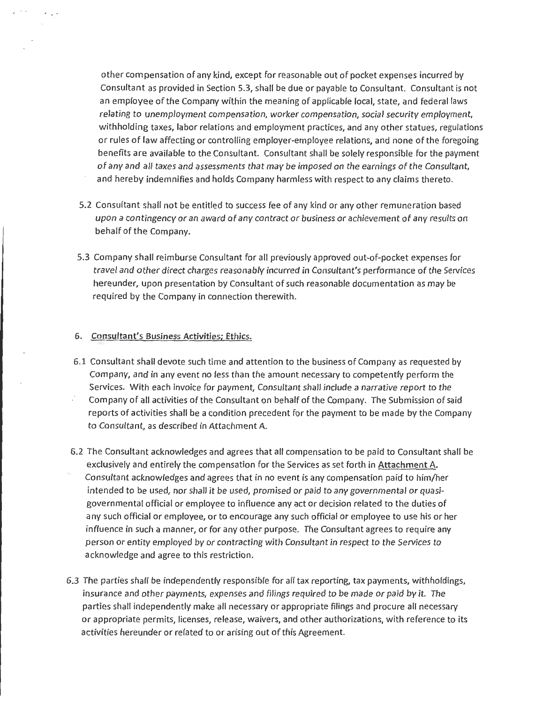other compensation of any kind, except for reasonable out of pocket expenses incurred by Consultant as provided in Section 5.3, shalf be due or payable to Consultant. Consultant is not an employee of the Company within the meaning of applicable local, state, and federal laws relating to unemployment compensation, worker compensation, social security employment, withholding taxes, labor relations and employment practices, and any other statues, regulations or rules of law affecting or controlling employer-employee relations, and none of the foregoing benefits are available to the Consultant. Consultant shalf be solely responsible for the payment of any and all taxes and assessments that may be imposed on the earnings of the Consultant, and hereby indemnifies and holds Company harmless with respect to any claims thereto.

- 5.2 Consultant shalf not be entitled to success fee of any kind or any other remuneration based upon a contingency or an award of any contract or business or achievement of any results on behalf of the Company.
- 5.3 Company shall reimburse Consultant for all previously approved out-of-pocket expenses for travel and other direct charges reasonably incurred in Consultant's performance of the Services hereunder, upon presentation by Consultant of such reasonable documentation as may be required by the Company in connection therewith.

### 6. Consultant's Business Activities; Ethics.

 $\mathcal{L} \rightarrow \mathcal{L}$ 

- 6.1 Consultant shall devote such time and attention to the business of Company as requested by Company, and in any event no less than the amount necessary to competently perform the Services. With each invoice for payment, Consultant shalf include a narrative report to the Company of all activities of the Consultant on behalf of the Company. The Submission of said reports of activities shalt be a condition precedent for the payment to be made by the Company to Consultant, as described in Attachment A.
- 6.2 The Consultant acknowledges and agrees that all compensation to be paid to Consultant shall be exclusively and entirely the compensation for the Services as set forth in Attachment A. Consultant acknowledges and agrees that in no event is any compensation paid to him/her intended to be used, nor shall it be used, promised or paid to any governmental or quasigovernmental official or employee to influence any act or decision related to the duties of any such official or employee, or to encourage any such official or employee to use his or her influence in such a manner, or for any other purpose. The Consultant agrees to require any person or entity employed by or contracting with Consultant in respect to the Services to acknowledge and agree to this restriction.
- 6.3 The parties shalt be independently responsible for all tax reporting, tax payments, withholdings, insurance and other payments, expenses and filings required to be made or paid by it. The parties shall independently make all necessary or appropriate filings and procure all necessary or appropriate permits, licenses, release, waivers, and other authorizations, with reference to its activities hereunder or related to or arising out of this Agreement.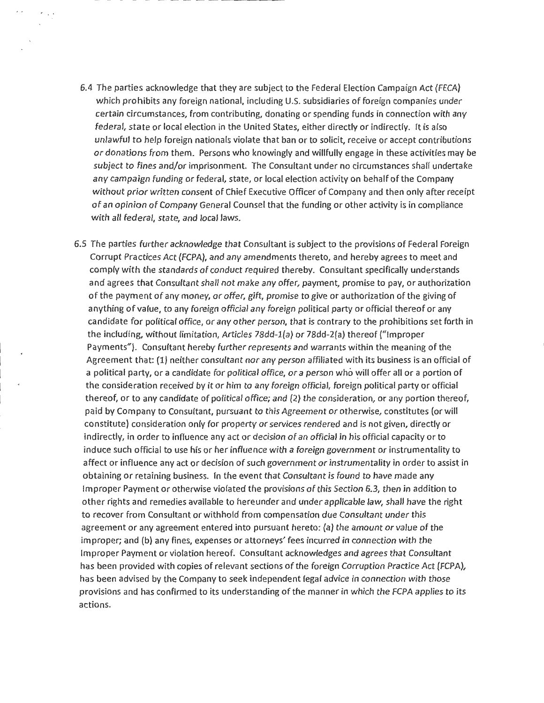6.4 The parties acknowledge that they are subject to the Federal Election Campaign Act (FECA) which prohibits any foreign national, including U.S. subsidiaries of foreign companies under certain circumstances, from contributing, donating or spending funds in connection with any federal, state or local election in the United States, either directly or indirectly. It is also unlawful to help foreign nationals violate that ban or to solicit, receive or accept contributions or donations from them. Persons who knowingly and willfully engage in these activities may be subject to fines and/or imprisonment. The Consultant under no circumstances shalf undertake any campaign funding or federal, state, or local election activity on behalf of the Company without prior written consent of Chief Executive Officer of Company and then only after receipt of an opinion of Company General Counsel that the funding or other activity is in compliance with all federal, state, and local laws.

 $\cdot$   $\cdot$ 

6.5 The parties further acknowledge that Consultant is subject to the provisions of Federal Foreign Corrupt Practices Act (FCPA), and any amendments thereto, and hereby agrees to meet and comply with the standards of conduct required thereby. Consultant specifically understands and agrees that Consultant shalf not make any offer, payment, promise to pay, or authorization of the payment of any money, or offer, gift, promise to give or authorization of the giving of anything of value, to any foreign official any foreign political party or official thereof or any candidate for political office, or any other person, that is contrary to the prohibitions set forth in the including, without limitation, Articles 78dd-l(a) or 78dd-2(a) thereof ("Improper Payments"). Consultant hereby further represents and warrants within the meaning of the Agreement that: (1) neither consultant nor any person affiliated with its business is an official of a political party, or a candidate for political office, or a person who will offer all or a portion of the consideration received by it or him to any foreign official, foreign political party or official thereof, or to any candidate of political office; and (2) the consideration, or any portion thereof, paid by Company to Consultant, pursuant to this Agreement or otherwise, constitutes (or will constitute) consideration only for property or services rendered and is not given, directly or indirectly, in order to influence any act or decision of an official in his official capacity or to induce such official to use his or her influence with a foreign government or instrumentality to affect or influence any act or decision of such government or instrumentality in order to assist in obtaining or retaining business. In the event that Consultant is found to have made any Improper Payment or otherwise violated the provisions of this Section 6.3, then in addition to other rights and remedies available to hereunder and under applicable law, shall have the right to recover from Consultant or withhold from compensation due Consultant under this agreement or any agreement entered into pursuant hereto: (a) the amount or value of the improper; and (b) any fines, expenses or attorneys' fees incurred in connection with the Improper Payment or violation hereof. Consultant acknowledges and agrees that Consultant has been provided with copies of relevant sections of the foreign Corruption Practice Act (FCPA), has been advised by the Company to seek independent legal advice in connection with those provisions and has confirmed to its understanding of the manner in which the FCPA applies to its actions.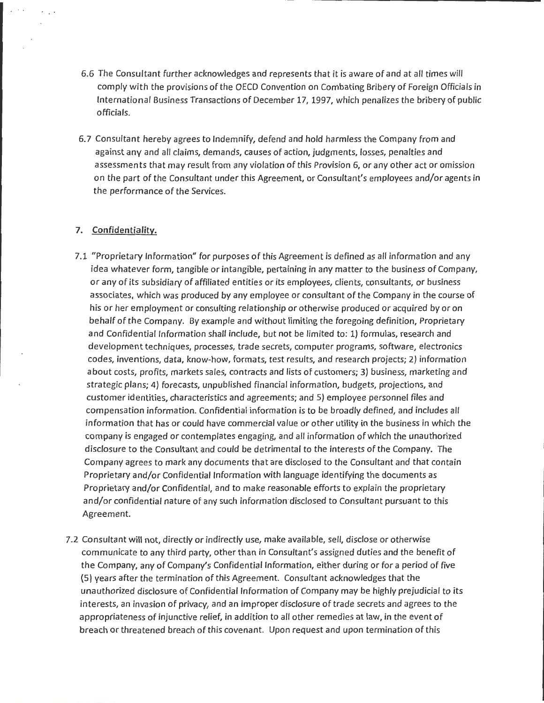- 6.6 The Consultant further acknowledges and represents that it is aware of and at all times will comply with the provisions of the OECD Convention on Combating Bribery of Foreign Officials in International Business Transactions of December 17, 1997, which penalizes the bribery of public officials.
- 6. 7 Consultant hereby agrees to Indemnify, defend and hold harmless the Company from and against any and all claims, demands, causes of action, judgments, losses, penalties and assessments that may result from any violation of this Provision 6, or any other act or omission on the part of the Consultant under this Agreement, or Consultant's employees and/or agents in the performance of the Services.

### **7. Confidentiality.**

- 7.1 "Proprietary Information" for purposes of this Agreement is defined as all information and any idea whatever form, tangible or intangible, pertaining in any matter to the business of Company, or any of its subsidiary of affiliated entities or its employees, clients, consultants, or business associates, which was produced by any employee or consultant of the Company in the course of his or her employment or consulting relationship or otherwise produced or acquired by or on behalf of the Company. By example and without limiting the foregoing definition, Proprietary and Confidential Information shall include, but not be limited to: 1) formulas, research and development techniques, processes, trade secrets, computer programs, software, electronics codes, inventions, data, know-how, formats, test results, and research projects; 2) information about costs, profits, markets sales, contracts and lists of customers; 3) business, marketing and strategic plans; 4) forecasts, unpublished financial information, budgets, projections, and customer identities, characteristics and agreements; and 5) employee personnel files and compensation information. Confidential information is to be broadly defined, and includes all information that has or could have commercial value or other utility in the business in which the company is engaged or contemplates engaging, and all information of which the unauthorized disclosure to the Consultant and could be detrimental to the interests of the Company. The Company agrees to mark any documents that are disclosed to the Consultant and that contain Proprietary and/or Confidential Information with language identifying the documents as Proprietary and/or Confidential, and to make reasonable efforts to explain the proprietary and/or confidential nature of any such information disclosed to Consultant pursuant to this Agreement.
- 7.2 Consultant will not, directly or indirectly use, make available, sell, disclose or otherwise communicate to any third party, other than in Consultant's assigned duties and the benefit of the Company, any of Company's Confidential Information, either during or for a period of five (5) years after the termination of this Agreement. Consultant acknowledges that the unauthorized disclosure of Confidential Information of Company may be highly prejudicial to its interests, an invasion of privacy, and an improper disclosure of trade secrets and agrees to the appropriateness of injunctive relief, in addition to all other remedies at law, in the event of breach or threatened breach of this covenant. Upon request and upon termination of this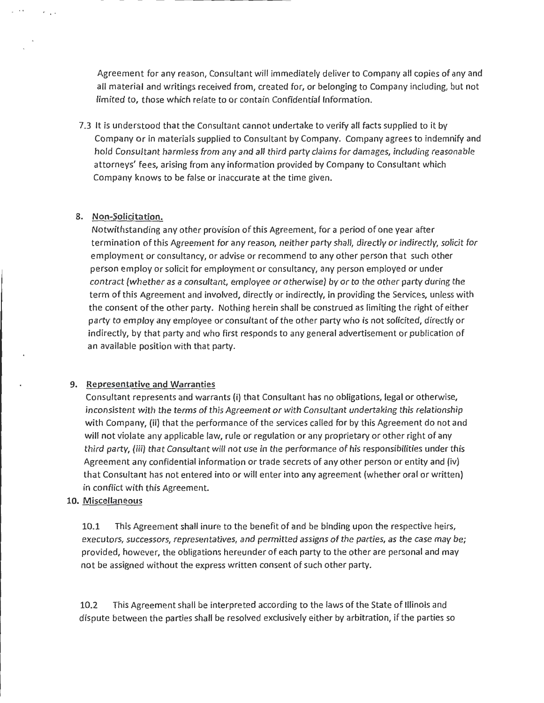Agreement for any reason, Consultant will immediately deliver to Company all copies of any and all material and writings received from, created for, or belonging to Company including, but not limited to, those which relate to or contain Confidential Information.

7.3 It is understood that the Consultant cannot undertake to verify all facts supplied to it by Company or in materials supplied to Consultant by Company. Company agrees to indemnify and hold Consultant harmless from any and all third party claims for damages, including reasonable attorneys' fees, arising from any information provided by Company to Consultant which Company knows to be false or inaccurate at the time given.

### 8. Non-Solicitation.

 $\sigma = 1/2$ 

Notwithstanding any other provision of this Agreement, for a period of one year after termination of this Agreement for any reason, neither party shall, directly or indirectly, solicit for employment or consultancy, or advise or recommend to any other person that such other person employ or solicit for employment or consultancy, any person employed or under contract {whether as a consultant, employee or otherwise) by or to the other party during the term of this Agreement and involved, directly or indirectly, in providing the Services, unless with the consent of the other party. Nothing herein shall be construed as limiting the right of either party to employ any employee or consultant of the other party who is not solicited, directly or indirectly, by that party and who first responds to any general advertisement or publication of an available position with that party.

### 9. Representative and Warranties

Consultant represents and warrants (i) that Consultant has no obligations, legal or otherwise, inconsistent with the terms of this Agreement or with Consultant undertaking this relationship with Company, (ii) that the performance of the services called for by this Agreement do not and will not violate any applicable law, rule or regulation or any proprietary or other right of any third party, {iii) that Consultant will not use in the performance of his responsibilities under this Agreement any confidential information or trade secrets of any other person or entity and (iv) that Consultant has not entered into or will enter into any agreement {whether oral or written) in conflict with this Agreement.

## 10. Miscallaneous

10.1 This Agreement shall inure to the benefit of and be binding upon the respective heirs, executors, successors, representatives, and permitted assigns of the parties, as the case may be; provided, however, the obligations hereunder of each party to the other are personal and may not be assigned without the express written consent of such other party.

10.2 This Agreement shall be interpreted according to the laws of the State of Illinois and dispute between the parties shall be resolved exclusively either by arbitration, if the parties so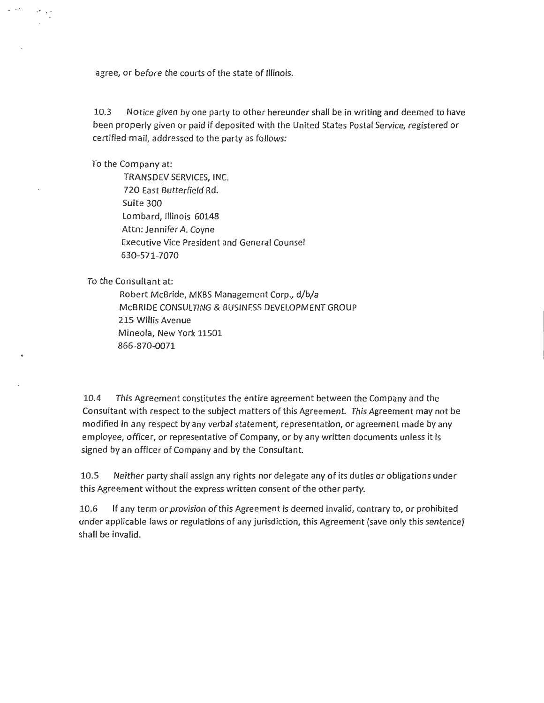agree, or before the courts of the state of Illinois.

10.3 Notice given by one party to other hereunder shall be in writing and deemed to have been properly given or paid if deposited with the United States Postal Service, registered or certified mail, addressed to the party as follows:

To the Company at:

TRANSDEV SERVICES, INC. 720 East Butterfield Rd. Suite 300 Lombard, Illinois 60148 Attn: Jennifer A. Coyne Executive Vice President and General Counsel 630-571-7070

To the Consultant at:

Robert McBride, MKBS Management Corp., d/b/a McBRIDE CONSULTING & BUSINESS DEVELOPMENT GROUP 215 Willis Avenue Mineola, New York 11501 866-870-0071

10.4 This Agreement constitutes the entire agreement between the Company and the Consultant with respect to the subject matters of this Agreement. This Agreement may not be modified in any respect by any verbal statement, representation, or agreement made by any employee, officer, or representative of Company, or by any written documents unless it is signed by an officer of Company and by the Consultant.

10.5 Neither party shall assign any rights nor delegate any of its duties or obligations under this Agreement without the express written consent of the other party.

10.6 If any term or provision of this Agreement is deemed invalid, contrary to, or prohibited under applicable laws or regulations of any jurisdiction, this Agreement (save only this sentence) shall be invalid.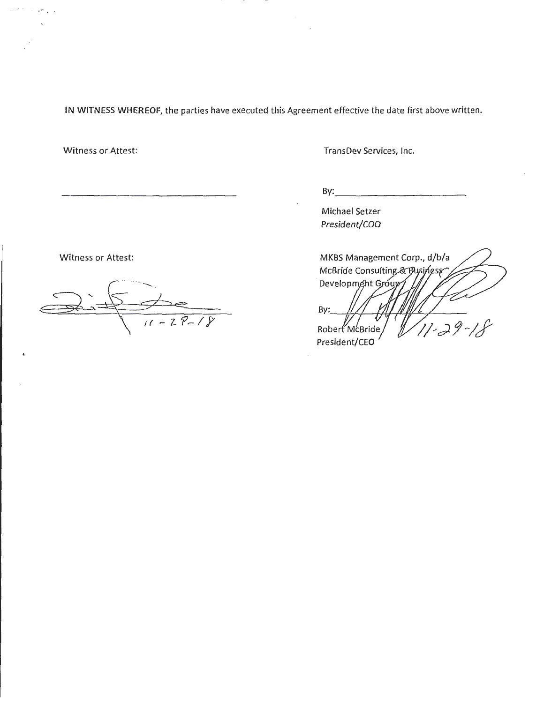**IN WITNESS WHEREOF,** the parties have executed this Agreement effective the date first above written.

Witness or Attest:

 $, r$   $,$ 

 $\lambda \rightarrow 0$ 

TransDev Services, Inc.

 $\mathsf{By:}$ 

Michael Setzer President/COO

Witness or Attest:

 $\frac{2}{11-28-18}$  $\overline{\mathcal{L}}$ 

MKBS Management Corp., d/b/a McBride Consulting & Business Development Group By:  $11 - 29$ Robert McBride President/CEO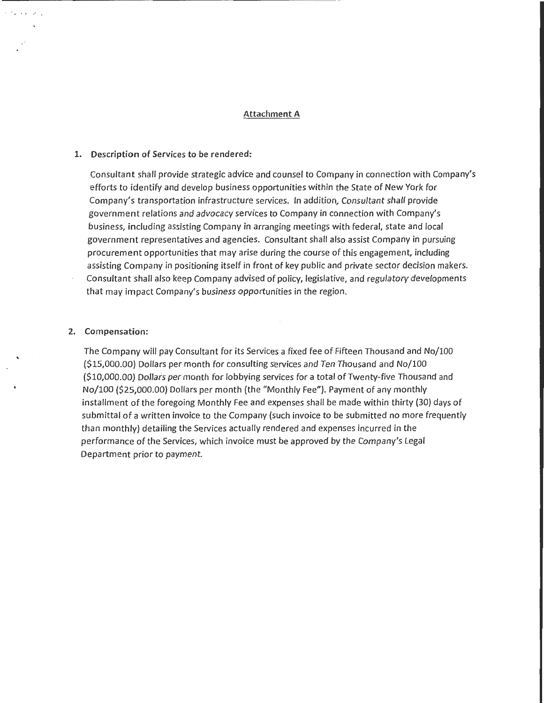### Attachment A

### 1. Description of Services *to* be rendered:

Consultant shall provide strategic advice and counsel to Company in connection with Company's efforts to identify and develop business opportunities within the State of New York for Company's transportation infrastructure services. In addition, Consultant shall provide government relations and advocacy services to Company in connection with Company's business, including assisting Company in arranging meetings with federal, state and local government representatives and agencies. Consultant shall also assist Company in pursuing procurement opportunities that may arise during the course of this engagement, including assisting Company in positioning itself in front of key public and private sector decision makers. Consultant shall also keep Company advised of policy, legislative, and regulatory developments that may impact Company's business opportunities in the region.

### 2. Compensation:

The Company will pay Consultant for its Services a fixed fee of Fifteen Thousand and No/100 (\$15,000.00) Dollars per month for consulting services and Ten Thousand and No/100 (\$10,000.00) Dollars per month for lobbying services for a total of Twenty-five Thousand and No/100 (\$25,000.00) Dollars per month (the "Monthly Fee"). Payment of any monthly installment of the foregoing Monthly Fee and expenses shall be made within thirty (30) days of submittal of a written invoice to the Company (such invoice to be submitted no more frequently than monthly) detailing the Services actually rendered and expenses incurred in the performance of the Services, which invoice must be approved by the Company's legal Department prior to payment.